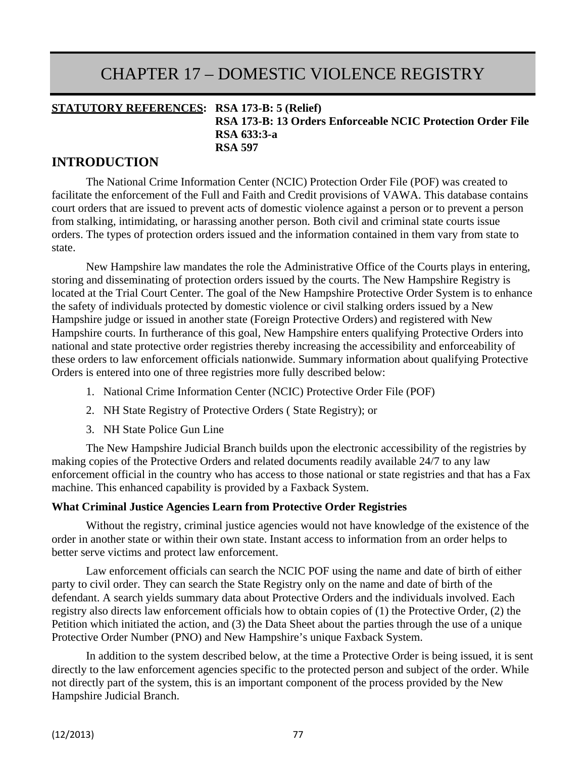# CHAPTER 17 – DOMESTIC VIOLENCE REGISTRY

#### **STATUTORY REFERENCES: RSA 173-B: 5 (Relief) RSA 173-B: 13 Orders Enforceable NCIC Protection Order File RSA 633:3-a RSA 597**

### **INTRODUCTION**

The National Crime Information Center (NCIC) Protection Order File (POF) was created to facilitate the enforcement of the Full and Faith and Credit provisions of VAWA. This database contains court orders that are issued to prevent acts of domestic violence against a person or to prevent a person from stalking, intimidating, or harassing another person. Both civil and criminal state courts issue orders. The types of protection orders issued and the information contained in them vary from state to state.

New Hampshire law mandates the role the Administrative Office of the Courts plays in entering, storing and disseminating of protection orders issued by the courts. The New Hampshire Registry is located at the Trial Court Center. The goal of the New Hampshire Protective Order System is to enhance the safety of individuals protected by domestic violence or civil stalking orders issued by a New Hampshire judge or issued in another state (Foreign Protective Orders) and registered with New Hampshire courts. In furtherance of this goal, New Hampshire enters qualifying Protective Orders into national and state protective order registries thereby increasing the accessibility and enforceability of these orders to law enforcement officials nationwide. Summary information about qualifying Protective Orders is entered into one of three registries more fully described below:

- 1. National Crime Information Center (NCIC) Protective Order File (POF)
- 2. NH State Registry of Protective Orders ( State Registry); or
- 3. NH State Police Gun Line

The New Hampshire Judicial Branch builds upon the electronic accessibility of the registries by making copies of the Protective Orders and related documents readily available 24/7 to any law enforcement official in the country who has access to those national or state registries and that has a Fax machine. This enhanced capability is provided by a Faxback System.

#### **What Criminal Justice Agencies Learn from Protective Order Registries**

Without the registry, criminal justice agencies would not have knowledge of the existence of the order in another state or within their own state. Instant access to information from an order helps to better serve victims and protect law enforcement.

Law enforcement officials can search the NCIC POF using the name and date of birth of either party to civil order. They can search the State Registry only on the name and date of birth of the defendant. A search yields summary data about Protective Orders and the individuals involved. Each registry also directs law enforcement officials how to obtain copies of (1) the Protective Order, (2) the Petition which initiated the action, and (3) the Data Sheet about the parties through the use of a unique Protective Order Number (PNO) and New Hampshire's unique Faxback System.

In addition to the system described below, at the time a Protective Order is being issued, it is sent directly to the law enforcement agencies specific to the protected person and subject of the order. While not directly part of the system, this is an important component of the process provided by the New Hampshire Judicial Branch.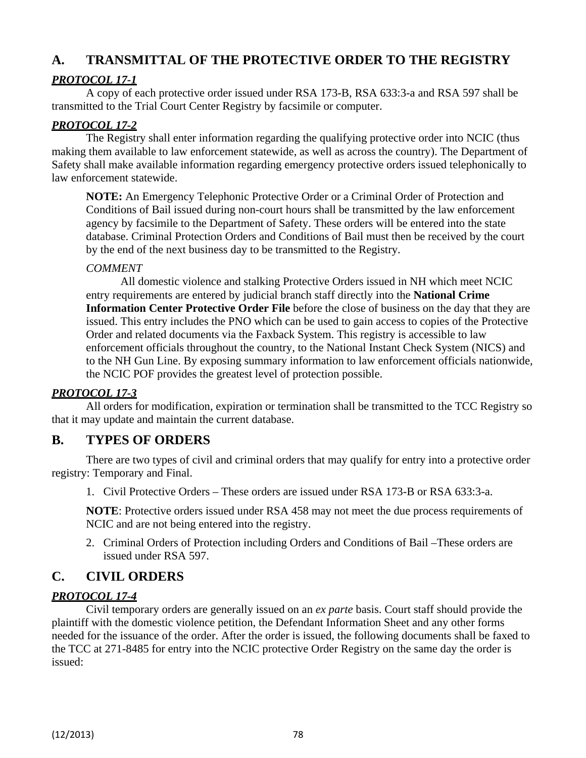## **A. TRANSMITTAL OF THE PROTECTIVE ORDER TO THE REGISTRY**

## *PROTOCOL 17-1*

A copy of each protective order issued under RSA 173-B, RSA 633:3-a and RSA 597 shall be transmitted to the Trial Court Center Registry by facsimile or computer.

### *PROTOCOL 17-2*

The Registry shall enter information regarding the qualifying protective order into NCIC (thus making them available to law enforcement statewide, as well as across the country). The Department of Safety shall make available information regarding emergency protective orders issued telephonically to law enforcement statewide.

**NOTE:** An Emergency Telephonic Protective Order or a Criminal Order of Protection and Conditions of Bail issued during non-court hours shall be transmitted by the law enforcement agency by facsimile to the Department of Safety. These orders will be entered into the state database. Criminal Protection Orders and Conditions of Bail must then be received by the court by the end of the next business day to be transmitted to the Registry.

### *COMMENT*

All domestic violence and stalking Protective Orders issued in NH which meet NCIC entry requirements are entered by judicial branch staff directly into the **National Crime Information Center Protective Order File** before the close of business on the day that they are issued. This entry includes the PNO which can be used to gain access to copies of the Protective Order and related documents via the Faxback System. This registry is accessible to law enforcement officials throughout the country, to the National Instant Check System (NICS) and to the NH Gun Line. By exposing summary information to law enforcement officials nationwide, the NCIC POF provides the greatest level of protection possible.

#### *PROTOCOL 17-3*

All orders for modification, expiration or termination shall be transmitted to the TCC Registry so that it may update and maintain the current database.

## **B. TYPES OF ORDERS**

There are two types of civil and criminal orders that may qualify for entry into a protective order registry: Temporary and Final.

1. Civil Protective Orders – These orders are issued under RSA 173-B or RSA 633:3-a.

**NOTE**: Protective orders issued under RSA 458 may not meet the due process requirements of NCIC and are not being entered into the registry.

2. Criminal Orders of Protection including Orders and Conditions of Bail –These orders are issued under RSA 597.

## **C. CIVIL ORDERS**

#### *PROTOCOL 17-4*

Civil temporary orders are generally issued on an *ex parte* basis. Court staff should provide the plaintiff with the domestic violence petition, the Defendant Information Sheet and any other forms needed for the issuance of the order. After the order is issued, the following documents shall be faxed to the TCC at 271-8485 for entry into the NCIC protective Order Registry on the same day the order is issued: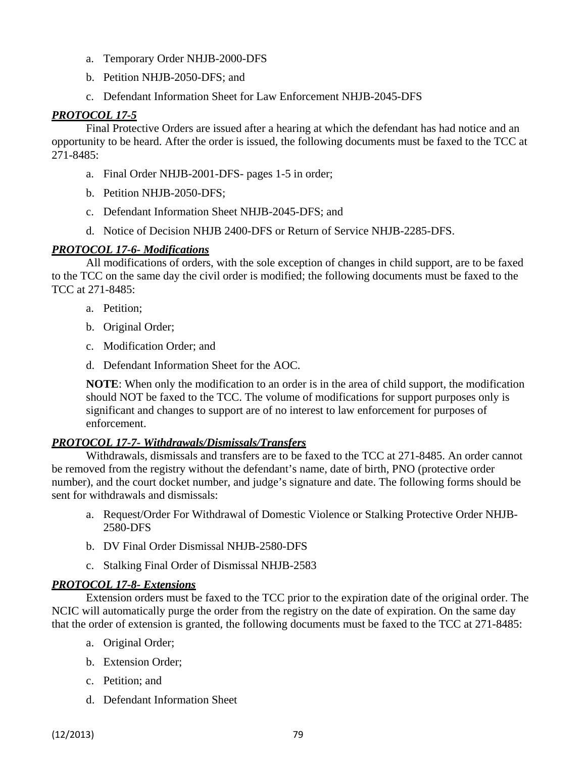- a. Temporary Order NHJB-2000-DFS
- b. Petition NHJB-2050-DFS; and
- c. Defendant Information Sheet for Law Enforcement NHJB-2045-DFS

### *PROTOCOL 17-5*

Final Protective Orders are issued after a hearing at which the defendant has had notice and an opportunity to be heard. After the order is issued, the following documents must be faxed to the TCC at 271-8485:

- a. Final Order NHJB-2001-DFS- pages 1-5 in order;
- b. Petition NHJB-2050-DFS;
- c. Defendant Information Sheet NHJB-2045-DFS; and
- d. Notice of Decision NHJB 2400-DFS or Return of Service NHJB-2285-DFS.

#### *PROTOCOL 17-6- Modifications*

All modifications of orders, with the sole exception of changes in child support, are to be faxed to the TCC on the same day the civil order is modified; the following documents must be faxed to the TCC at 271-8485:

- a. Petition;
- b. Original Order;
- c. Modification Order; and
- d. Defendant Information Sheet for the AOC.

**NOTE**: When only the modification to an order is in the area of child support, the modification should NOT be faxed to the TCC. The volume of modifications for support purposes only is significant and changes to support are of no interest to law enforcement for purposes of enforcement.

#### *PROTOCOL 17-7- Withdrawals/Dismissals/Transfers*

Withdrawals, dismissals and transfers are to be faxed to the TCC at 271-8485. An order cannot be removed from the registry without the defendant's name, date of birth, PNO (protective order number), and the court docket number, and judge's signature and date. The following forms should be sent for withdrawals and dismissals:

- a. Request/Order For Withdrawal of Domestic Violence or Stalking Protective Order NHJB-2580-DFS
- b. DV Final Order Dismissal NHJB-2580-DFS
- c. Stalking Final Order of Dismissal NHJB-2583

#### *PROTOCOL 17-8- Extensions*

Extension orders must be faxed to the TCC prior to the expiration date of the original order. The NCIC will automatically purge the order from the registry on the date of expiration. On the same day that the order of extension is granted, the following documents must be faxed to the TCC at 271-8485:

- a. Original Order;
- b. Extension Order;
- c. Petition; and
- d. Defendant Information Sheet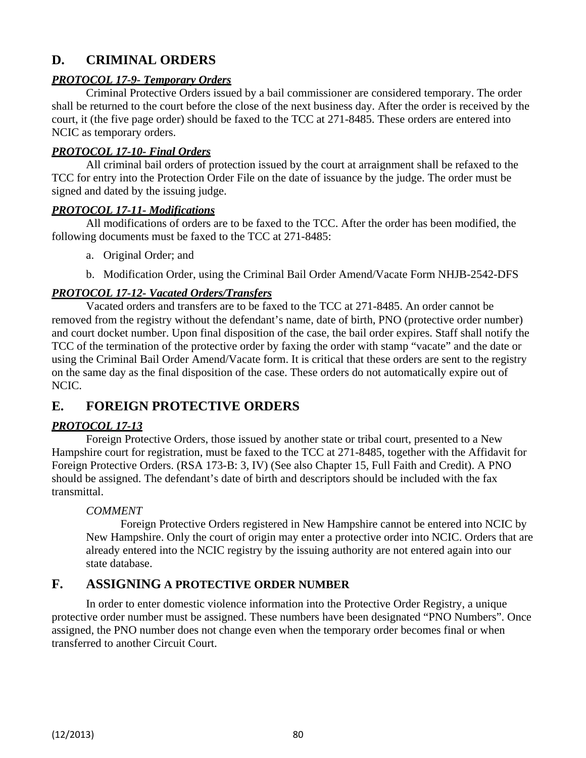## **D. CRIMINAL ORDERS**

#### *PROTOCOL 17-9- Temporary Orders*

Criminal Protective Orders issued by a bail commissioner are considered temporary. The order shall be returned to the court before the close of the next business day. After the order is received by the court, it (the five page order) should be faxed to the TCC at 271-8485. These orders are entered into NCIC as temporary orders.

#### *PROTOCOL 17-10- Final Orders*

All criminal bail orders of protection issued by the court at arraignment shall be refaxed to the TCC for entry into the Protection Order File on the date of issuance by the judge. The order must be signed and dated by the issuing judge.

#### *PROTOCOL 17-11- Modifications*

All modifications of orders are to be faxed to the TCC. After the order has been modified, the following documents must be faxed to the TCC at 271-8485:

a. Original Order; and

b. Modification Order, using the Criminal Bail Order Amend/Vacate Form NHJB-2542-DFS

#### *PROTOCOL 17-12- Vacated Orders/Transfers*

Vacated orders and transfers are to be faxed to the TCC at 271-8485. An order cannot be removed from the registry without the defendant's name, date of birth, PNO (protective order number) and court docket number. Upon final disposition of the case, the bail order expires. Staff shall notify the TCC of the termination of the protective order by faxing the order with stamp "vacate" and the date or using the Criminal Bail Order Amend/Vacate form. It is critical that these orders are sent to the registry on the same day as the final disposition of the case. These orders do not automatically expire out of NCIC.

## **E. FOREIGN PROTECTIVE ORDERS**

#### *PROTOCOL 17-13*

Foreign Protective Orders, those issued by another state or tribal court, presented to a New Hampshire court for registration, must be faxed to the TCC at 271-8485, together with the Affidavit for Foreign Protective Orders. (RSA 173-B: 3, IV) (See also Chapter 15, Full Faith and Credit). A PNO should be assigned. The defendant's date of birth and descriptors should be included with the fax transmittal.

#### *COMMENT*

Foreign Protective Orders registered in New Hampshire cannot be entered into NCIC by New Hampshire. Only the court of origin may enter a protective order into NCIC. Orders that are already entered into the NCIC registry by the issuing authority are not entered again into our state database.

#### **F. ASSIGNING A PROTECTIVE ORDER NUMBER**

In order to enter domestic violence information into the Protective Order Registry, a unique protective order number must be assigned. These numbers have been designated "PNO Numbers". Once assigned, the PNO number does not change even when the temporary order becomes final or when transferred to another Circuit Court.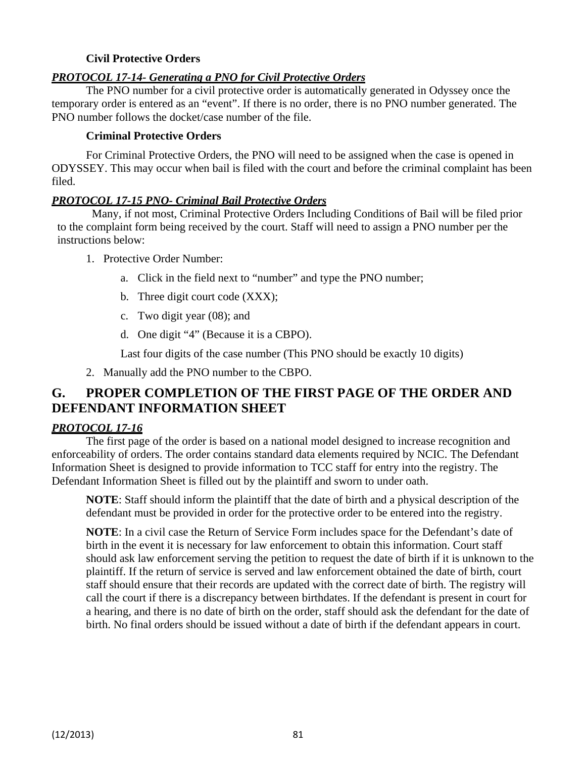#### **Civil Protective Orders**

#### *PROTOCOL 17-14- Generating a PNO for Civil Protective Orders*

The PNO number for a civil protective order is automatically generated in Odyssey once the temporary order is entered as an "event". If there is no order, there is no PNO number generated. The PNO number follows the docket/case number of the file.

#### **Criminal Protective Orders**

For Criminal Protective Orders, the PNO will need to be assigned when the case is opened in ODYSSEY. This may occur when bail is filed with the court and before the criminal complaint has been filed.

#### *PROTOCOL 17-15 PNO- Criminal Bail Protective Orders*

Many, if not most, Criminal Protective Orders Including Conditions of Bail will be filed prior to the complaint form being received by the court. Staff will need to assign a PNO number per the instructions below:

- 1. Protective Order Number:
	- a. Click in the field next to "number" and type the PNO number;
	- b. Three digit court code (XXX);
	- c. Two digit year (08); and
	- d. One digit "4" (Because it is a CBPO).

Last four digits of the case number (This PNO should be exactly 10 digits)

2. Manually add the PNO number to the CBPO.

## **G. PROPER COMPLETION OF THE FIRST PAGE OF THE ORDER AND DEFENDANT INFORMATION SHEET**

#### *PROTOCOL 17-16*

The first page of the order is based on a national model designed to increase recognition and enforceability of orders. The order contains standard data elements required by NCIC. The Defendant Information Sheet is designed to provide information to TCC staff for entry into the registry. The Defendant Information Sheet is filled out by the plaintiff and sworn to under oath.

**NOTE**: Staff should inform the plaintiff that the date of birth and a physical description of the defendant must be provided in order for the protective order to be entered into the registry.

**NOTE**: In a civil case the Return of Service Form includes space for the Defendant's date of birth in the event it is necessary for law enforcement to obtain this information. Court staff should ask law enforcement serving the petition to request the date of birth if it is unknown to the plaintiff. If the return of service is served and law enforcement obtained the date of birth, court staff should ensure that their records are updated with the correct date of birth. The registry will call the court if there is a discrepancy between birthdates. If the defendant is present in court for a hearing, and there is no date of birth on the order, staff should ask the defendant for the date of birth. No final orders should be issued without a date of birth if the defendant appears in court.